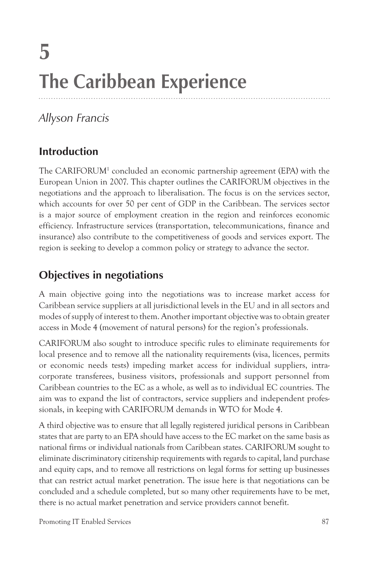# **5 The Caribbean Experience**

# *Allyson Francis*

## **Introduction**

The CARIFORUM<sup>1</sup> concluded an economic partnership agreement (EPA) with the European Union in 2007. This chapter outlines the CARIFORUM objectives in the negotiations and the approach to liberalisation. The focus is on the services sector, which accounts for over 50 per cent of GDP in the Caribbean. The services sector is a major source of employment creation in the region and reinforces economic efficiency. Infrastructure services (transportation, telecommunications, finance and insurance) also contribute to the competitiveness of goods and services export. The region is seeking to develop a common policy or strategy to advance the sector.

# **Objectives in negotiations**

A main objective going into the negotiations was to increase market access for Caribbean service suppliers at all jurisdictional levels in the EU and in all sectors and modes of supply of interest to them. Another important objective was to obtain greater access in Mode 4 (movement of natural persons) for the region's professionals.

CARIFORUM also sought to introduce specific rules to eliminate requirements for local presence and to remove all the nationality requirements (visa, licences, permits or economic needs tests) impeding market access for individual suppliers, intracorporate transferees, business visitors, professionals and support personnel from Caribbean countries to the EC as a whole, as well as to individual EC countries. The aim was to expand the list of contractors, service suppliers and independent professionals, in keeping with CARIFORUM demands in WTO for Mode 4.

A third objective was to ensure that all legally registered juridical persons in Caribbean states that are party to an EPA should have access to the EC market on the same basis as national firms or individual nationals from Caribbean states. CARIFORUM sought to eliminate discriminatory citizenship requirements with regards to capital, land purchase and equity caps, and to remove all restrictions on legal forms for setting up businesses that can restrict actual market penetration. The issue here is that negotiations can be concluded and a schedule completed, but so many other requirements have to be met, there is no actual market penetration and service providers cannot benefit.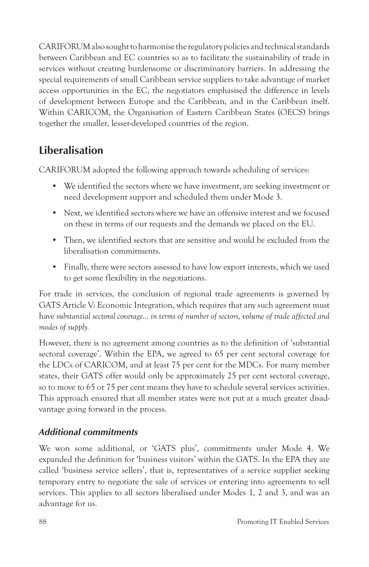CARIFORUM also sought to harmonise the regulatory policies and technical standards between Caribbean and EC countries so as to facilitate the sustainability of trade in services without creating burdensome or discriminatory barriers. In addressing the special requirements of small Caribbean service suppliers to take advantage of market access opportunities in the EC, the negotiators emphasised the difference in levels of development between Europe and the Caribbean, and in the Caribbean itself. Within CARICOM, the Organisation of Eastern Caribbean States (OECS) brings together the smaller, lesser-developed countries of the region.

#### **Liberalisation**

CARIFORUM adopted the following approach towards scheduling of services:

- We identified the sectors where we have investment, are seeking investment or need development support and scheduled them under Mode 3.
- Next, we identified sectors where we have an offensive interest and we focused on these in terms of our requests and the demands we placed on the EU.
- Then, we identified sectors that are sensitive and would be excluded from the liberalisation commitments.
- Finally, there were sectors assessed to have low export interests, which we used to get some flexibility in the negotiations.

For trade in services, the conclusion of regional trade agreements is governed by GATS Article V: Economic Integration, which requires that any such agreement must have *substantial sectoral coverage… in terms of number of sectors, volume of trade affected and modes of supply.*

However, there is no agreement among countries as to the definition of 'substantial sectoral coverage'. Within the EPA, we agreed to 65 per cent sectoral coverage for the LDCs of CARICOM, and at least 75 per cent for the MDCs. For many member states, their GATS offer would only be approximately 25 per cent sectoral coverage, so to move to 65 or 75 per cent means they have to schedule several services activities. This approach ensured that all member states were not put at a much greater disadvantage going forward in the process.

#### *Additional commitments*

We won some additional, or 'GATS plus', commitments under Mode 4. We expanded the definition for 'business visitors' within the GATS. In the EPA they are called 'business service sellers', that is, representatives of a service supplier seeking temporary entry to negotiate the sale of services or entering into agreements to sell services. This applies to all sectors liberalised under Modes 1, 2 and 3, and was an advantage for us.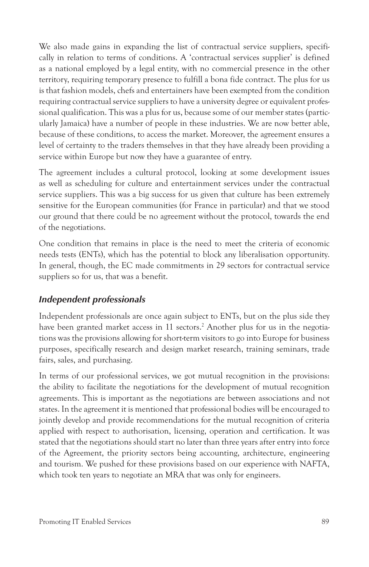We also made gains in expanding the list of contractual service suppliers, specifically in relation to terms of conditions. A 'contractual services supplier' is defined as a national employed by a legal entity, with no commercial presence in the other territory, requiring temporary presence to fulfill a bona fide contract. The plus for us is that fashion models, chefs and entertainers have been exempted from the condition requiring contractual service suppliers to have a university degree or equivalent professional qualification. This was a plus for us, because some of our member states (particularly Jamaica) have a number of people in these industries. We are now better able, because of these conditions, to access the market. Moreover, the agreement ensures a level of certainty to the traders themselves in that they have already been providing a service within Europe but now they have a guarantee of entry.

The agreement includes a cultural protocol, looking at some development issues as well as scheduling for culture and entertainment services under the contractual service suppliers. This was a big success for us given that culture has been extremely sensitive for the European communities (for France in particular) and that we stood our ground that there could be no agreement without the protocol, towards the end of the negotiations.

One condition that remains in place is the need to meet the criteria of economic needs tests (ENTs), which has the potential to block any liberalisation opportunity. In general, though, the EC made commitments in 29 sectors for contractual service suppliers so for us, that was a benefit.

#### *Independent professionals*

Independent professionals are once again subject to ENTs, but on the plus side they have been granted market access in 11 sectors.2 Another plus for us in the negotiations was the provisions allowing for short-term visitors to go into Europe for business purposes, specifically research and design market research, training seminars, trade fairs, sales, and purchasing.

In terms of our professional services, we got mutual recognition in the provisions: the ability to facilitate the negotiations for the development of mutual recognition agreements. This is important as the negotiations are between associations and not states. In the agreement it is mentioned that professional bodies will be encouraged to jointly develop and provide recommendations for the mutual recognition of criteria applied with respect to authorisation, licensing, operation and certification. It was stated that the negotiations should start no later than three years after entry into force of the Agreement, the priority sectors being accounting, architecture, engineering and tourism. We pushed for these provisions based on our experience with NAFTA, which took ten years to negotiate an MRA that was only for engineers.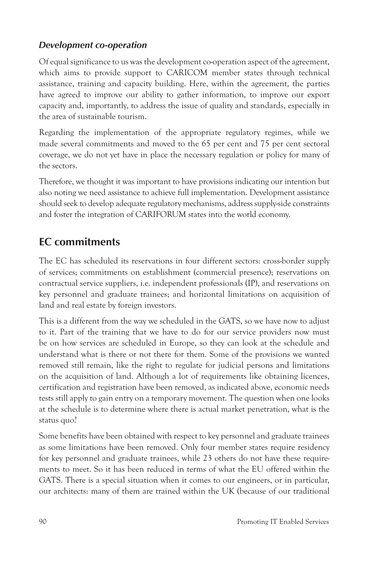#### *Development co-operation*

Of equal significance to us was the development co-operation aspect of the agreement, which aims to provide support to CARICOM member states through technical assistance, training and capacity building. Here, within the agreement, the parties have agreed to improve our ability to gather information, to improve our export capacity and, importantly, to address the issue of quality and standards, especially in the area of sustainable tourism.

Regarding the implementation of the appropriate regulatory regimes, while we made several commitments and moved to the 65 per cent and 75 per cent sectoral coverage, we do not yet have in place the necessary regulation or policy for many of the sectors.

Therefore, we thought it was important to have provisions indicating our intention but also noting we need assistance to achieve full implementation. Development assistance should seek to develop adequate regulatory mechanisms, address supply-side constraints and foster the integration of CARIFORUM states into the world economy.

#### **EC commitments**

The EC has scheduled its reservations in four different sectors: cross-border supply of services; commitments on establishment (commercial presence); reservations on contractual service suppliers, i.e. independent professionals (IP), and reservations on key personnel and graduate trainees; and horizontal limitations on acquisition of land and real estate by foreign investors.

This is a different from the way we scheduled in the GATS, so we have now to adjust to it. Part of the training that we have to do for our service providers now must be on how services are scheduled in Europe, so they can look at the schedule and understand what is there or not there for them. Some of the provisions we wanted removed still remain, like the right to regulate for judicial persons and limitations on the acquisition of land. Although a lot of requirements like obtaining licences, certification and registration have been removed, as indicated above, economic needs tests still apply to gain entry on a temporary movement. The question when one looks at the schedule is to determine where there is actual market penetration, what is the status quo?

Some benefits have been obtained with respect to key personnel and graduate trainees as some limitations have been removed. Only four member states require residency for key personnel and graduate trainees, while 23 others do not have these requirements to meet. So it has been reduced in terms of what the EU offered within the GATS. There is a special situation when it comes to our engineers, or in particular, our architects: many of them are trained within the UK (because of our traditional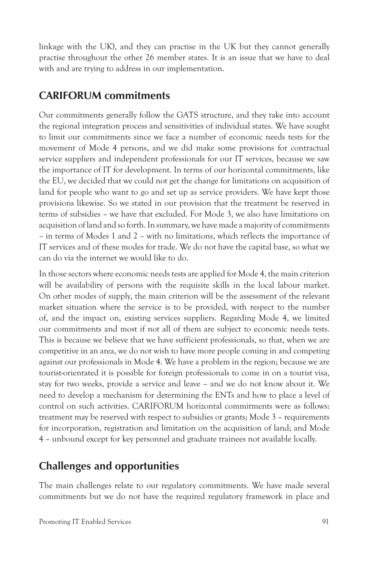linkage with the UK), and they can practise in the UK but they cannot generally practise throughout the other 26 member states. It is an issue that we have to deal with and are trying to address in our implementation.

#### **CARIFORUM commitments**

Our commitments generally follow the GATS structure, and they take into account the regional integration process and sensitivities of individual states. We have sought to limit our commitments since we face a number of economic needs tests for the movement of Mode 4 persons, and we did make some provisions for contractual service suppliers and independent professionals for our IT services, because we saw the importance of IT for development. In terms of our horizontal commitments, like the EU, we decided that we could not get the change for limitations on acquisition of land for people who want to go and set up as service providers. We have kept those provisions likewise. So we stated in our provision that the treatment be reserved in terms of subsidies – we have that excluded. For Mode 3, we also have limitations on acquisition of land and so forth. In summary, we have made a majority of commitments – in terms of Modes 1 and 2 – with no limitations, which reflects the importance of IT services and of these modes for trade. We do not have the capital base, so what we can do via the internet we would like to do.

In those sectors where economic needs tests are applied for Mode 4, the main criterion will be availability of persons with the requisite skills in the local labour market. On other modes of supply, the main criterion will be the assessment of the relevant market situation where the service is to be provided, with respect to the number of, and the impact on, existing services suppliers. Regarding Mode 4, we limited our commitments and most if not all of them are subject to economic needs tests. This is because we believe that we have sufficient professionals, so that, when we are competitive in an area, we do not wish to have more people coming in and competing against our professionals in Mode 4. We have a problem in the region; because we are tourist-orientated it is possible for foreign professionals to come in on a tourist visa, stay for two weeks, provide a service and leave – and we do not know about it. We need to develop a mechanism for determining the ENTs and how to place a level of control on such activities. CARIFORUM horizontal commitments were as follows: treatment may be reserved with respect to subsidies or grants; Mode 3 – requirements for incorporation, registration and limitation on the acquisition of land; and Mode 4 – unbound except for key personnel and graduate trainees not available locally.

#### **Challenges and opportunities**

The main challenges relate to our regulatory commitments. We have made several commitments but we do not have the required regulatory framework in place and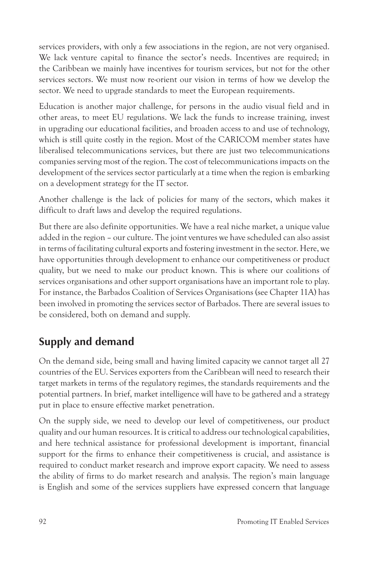services providers, with only a few associations in the region, are not very organised. We lack venture capital to finance the sector's needs. Incentives are required; in the Caribbean we mainly have incentives for tourism services, but not for the other services sectors. We must now re-orient our vision in terms of how we develop the sector. We need to upgrade standards to meet the European requirements.

Education is another major challenge, for persons in the audio visual field and in other areas, to meet EU regulations. We lack the funds to increase training, invest in upgrading our educational facilities, and broaden access to and use of technology, which is still quite costly in the region. Most of the CARICOM member states have liberalised telecommunications services, but there are just two telecommunications companies serving most of the region. The cost of telecommunications impacts on the development of the services sector particularly at a time when the region is embarking on a development strategy for the IT sector.

Another challenge is the lack of policies for many of the sectors, which makes it difficult to draft laws and develop the required regulations.

But there are also definite opportunities. We have a real niche market, a unique value added in the region – our culture. The joint ventures we have scheduled can also assist in terms of facilitating cultural exports and fostering investment in the sector. Here, we have opportunities through development to enhance our competitiveness or product quality, but we need to make our product known. This is where our coalitions of services organisations and other support organisations have an important role to play. For instance, the Barbados Coalition of Services Organisations (see Chapter 11A) has been involved in promoting the services sector of Barbados. There are several issues to be considered, both on demand and supply.

## **Supply and demand**

On the demand side, being small and having limited capacity we cannot target all 27 countries of the EU. Services exporters from the Caribbean will need to research their target markets in terms of the regulatory regimes, the standards requirements and the potential partners. In brief, market intelligence will have to be gathered and a strategy put in place to ensure effective market penetration.

On the supply side, we need to develop our level of competitiveness, our product quality and our human resources. It is critical to address our technological capabilities, and here technical assistance for professional development is important, financial support for the firms to enhance their competitiveness is crucial, and assistance is required to conduct market research and improve export capacity. We need to assess the ability of firms to do market research and analysis. The region's main language is English and some of the services suppliers have expressed concern that language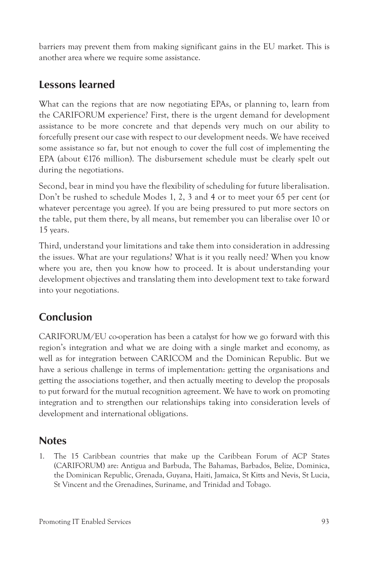barriers may prevent them from making significant gains in the EU market. This is another area where we require some assistance.

# **Lessons learned**

What can the regions that are now negotiating EPAs, or planning to, learn from the CARIFORUM experience? First, there is the urgent demand for development assistance to be more concrete and that depends very much on our ability to forcefully present our case with respect to our development needs. We have received some assistance so far, but not enough to cover the full cost of implementing the EPA (about €176 million). The disbursement schedule must be clearly spelt out during the negotiations.

Second, bear in mind you have the flexibility of scheduling for future liberalisation. Don't be rushed to schedule Modes 1, 2, 3 and 4 or to meet your 65 per cent (or whatever percentage you agree). If you are being pressured to put more sectors on the table, put them there, by all means, but remember you can liberalise over 10 or 15 years.

Third, understand your limitations and take them into consideration in addressing the issues. What are your regulations? What is it you really need? When you know where you are, then you know how to proceed. It is about understanding your development objectives and translating them into development text to take forward into your negotiations.

# **Conclusion**

CARIFORUM/EU co-operation has been a catalyst for how we go forward with this region's integration and what we are doing with a single market and economy, as well as for integration between CARICOM and the Dominican Republic. But we have a serious challenge in terms of implementation: getting the organisations and getting the associations together, and then actually meeting to develop the proposals to put forward for the mutual recognition agreement. We have to work on promoting integration and to strengthen our relationships taking into consideration levels of development and international obligations.

## **Notes**

1. The 15 Caribbean countries that make up the Caribbean Forum of ACP States (CARIFORUM) are: Antigua and Barbuda, The Bahamas, Barbados, Belize, Dominica, the Dominican Republic, Grenada, Guyana, Haiti, Jamaica, St Kitts and Nevis, St Lucia, St Vincent and the Grenadines, Suriname, and Trinidad and Tobago.